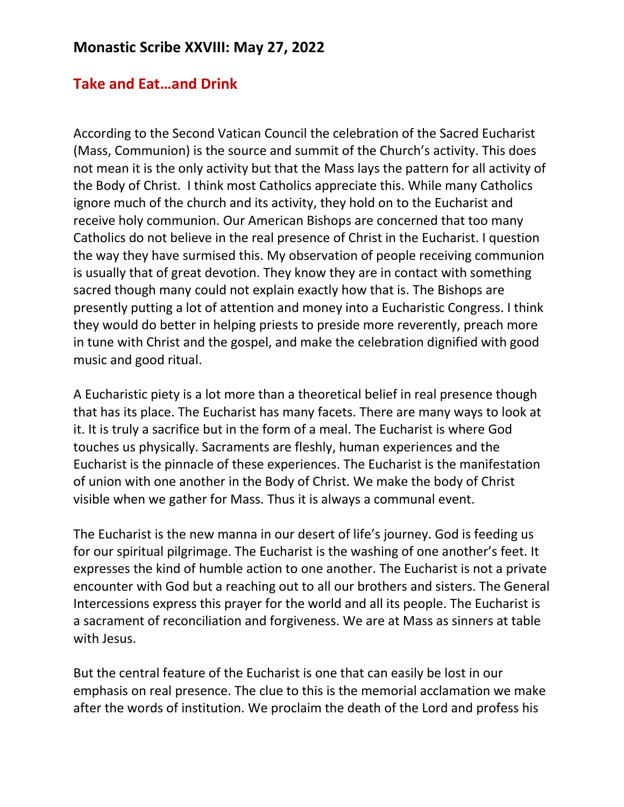### **Monastic Scribe XXVIII: May 27, 2022**

#### **Take and Eat…and Drink**

According to the Second Vatican Council the celebration of the Sacred Eucharist (Mass, Communion) is the source and summit of the Church's activity. This does not mean it is the only activity but that the Mass lays the pattern for all activity of the Body of Christ. I think most Catholics appreciate this. While many Catholics ignore much of the church and its activity, they hold on to the Eucharist and receive holy communion. Our American Bishops are concerned that too many Catholics do not believe in the real presence of Christ in the Eucharist. I question the way they have surmised this. My observation of people receiving communion is usually that of great devotion. They know they are in contact with something sacred though many could not explain exactly how that is. The Bishops are presently putting a lot of attention and money into a Eucharistic Congress. I think they would do better in helping priests to preside more reverently, preach more in tune with Christ and the gospel, and make the celebration dignified with good music and good ritual.

A Eucharistic piety is a lot more than a theoretical belief in real presence though that has its place. The Eucharist has many facets. There are many ways to look at it. It is truly a sacrifice but in the form of a meal. The Eucharist is where God touches us physically. Sacraments are fleshly, human experiences and the Eucharist is the pinnacle of these experiences. The Eucharist is the manifestation of union with one another in the Body of Christ. We make the body of Christ visible when we gather for Mass. Thus it is always a communal event.

The Eucharist is the new manna in our desert of life's journey. God is feeding us for our spiritual pilgrimage. The Eucharist is the washing of one another's feet. It expresses the kind of humble action to one another. The Eucharist is not a private encounter with God but a reaching out to all our brothers and sisters. The General Intercessions express this prayer for the world and all its people. The Eucharist is a sacrament of reconciliation and forgiveness. We are at Mass as sinners at table with Jesus.

But the central feature of the Eucharist is one that can easily be lost in our emphasis on real presence. The clue to this is the memorial acclamation we make after the words of institution. We proclaim the death of the Lord and profess his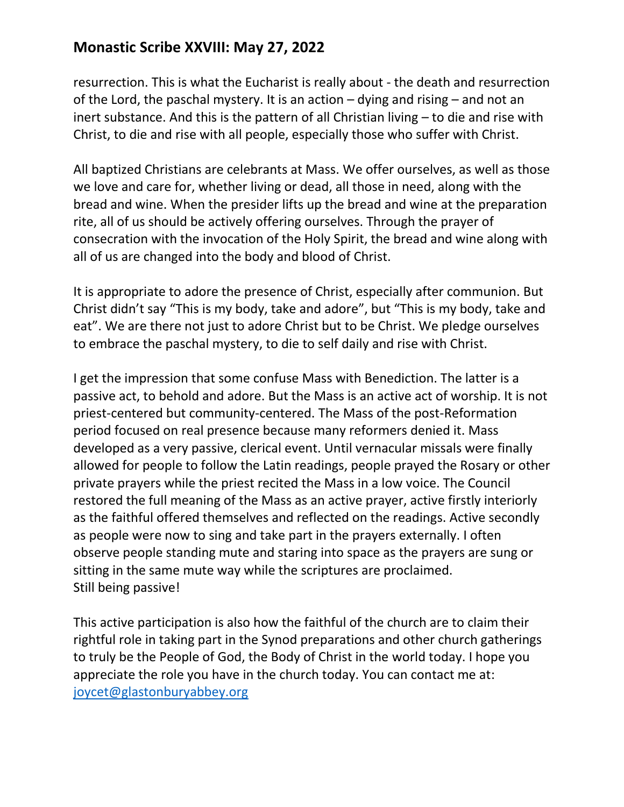# **Monastic Scribe XXVIII: May 27, 2022**

resurrection. This is what the Eucharist is really about - the death and resurrection of the Lord, the paschal mystery. It is an action – dying and rising – and not an inert substance. And this is the pattern of all Christian living – to die and rise with Christ, to die and rise with all people, especially those who suffer with Christ.

All baptized Christians are celebrants at Mass. We offer ourselves, as well as those we love and care for, whether living or dead, all those in need, along with the bread and wine. When the presider lifts up the bread and wine at the preparation rite, all of us should be actively offering ourselves. Through the prayer of consecration with the invocation of the Holy Spirit, the bread and wine along with all of us are changed into the body and blood of Christ.

It is appropriate to adore the presence of Christ, especially after communion. But Christ didn't say "This is my body, take and adore", but "This is my body, take and eat". We are there not just to adore Christ but to be Christ. We pledge ourselves to embrace the paschal mystery, to die to self daily and rise with Christ.

I get the impression that some confuse Mass with Benediction. The latter is a passive act, to behold and adore. But the Mass is an active act of worship. It is not priest-centered but community-centered. The Mass of the post-Reformation period focused on real presence because many reformers denied it. Mass developed as a very passive, clerical event. Until vernacular missals were finally allowed for people to follow the Latin readings, people prayed the Rosary or other private prayers while the priest recited the Mass in a low voice. The Council restored the full meaning of the Mass as an active prayer, active firstly interiorly as the faithful offered themselves and reflected on the readings. Active secondly as people were now to sing and take part in the prayers externally. I often observe people standing mute and staring into space as the prayers are sung or sitting in the same mute way while the scriptures are proclaimed. Still being passive!

This active participation is also how the faithful of the church are to claim their rightful role in taking part in the Synod preparations and other church gatherings to truly be the People of God, the Body of Christ in the world today. I hope you appreciate the role you have in the church today. You can contact me at: [joycet@glastonburyabbey.org](mailto:joycet@glastonburyabbey.org)